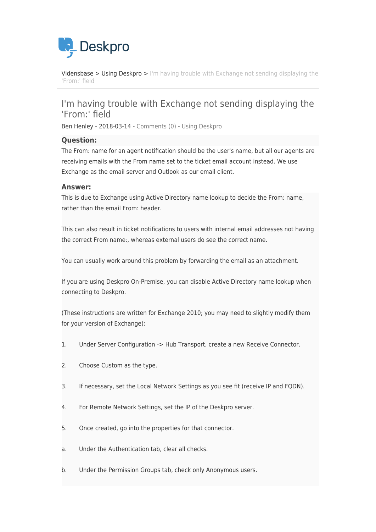

[Vidensbase](https://support.deskpro.com/da/kb) > [Using Deskpro](https://support.deskpro.com/da/kb/using-deskpro) > [I'm having trouble with Exchange not sending displaying the](https://support.deskpro.com/da/kb/articles/i-m-having-trouble-with-exchange-not-sending-displaying-the-from-field) ['From:' field](https://support.deskpro.com/da/kb/articles/i-m-having-trouble-with-exchange-not-sending-displaying-the-from-field)

## I'm having trouble with Exchange not sending displaying the 'From:' field

Ben Henley - 2018-03-14 - [Comments \(0\)](#page--1-0) - [Using Deskpro](https://support.deskpro.com/da/kb/using-deskpro)

## **Question:**

The From: name for an agent notification should be the user's name, but all our agents are receiving emails with the From name set to the ticket email account instead. We use Exchange as the email server and Outlook as our email client.

## **Answer:**

This is due to Exchange using Active Directory name lookup to decide the From: name, rather than the email From: header.

This can also result in ticket notifications to users with internal email addresses not having the correct From name:, whereas external users do see the correct name.

You can usually work around this problem by forwarding the email as an attachment.

If you are using Deskpro On-Premise, you can disable Active Directory name lookup when connecting to Deskpro.

(These instructions are written for Exchange 2010; you may need to slightly modify them for your version of Exchange):

- 1. Under Server Configuration -> Hub Transport, create a new Receive Connector.
- 2. Choose Custom as the type.
- 3. If necessary, set the Local Network Settings as you see fit (receive IP and FQDN).
- 4. For Remote Network Settings, set the IP of the Deskpro server.
- 5. Once created, go into the properties for that connector.
- a. Under the Authentication tab, clear all checks.
- b. Under the Permission Groups tab, check only Anonymous users.